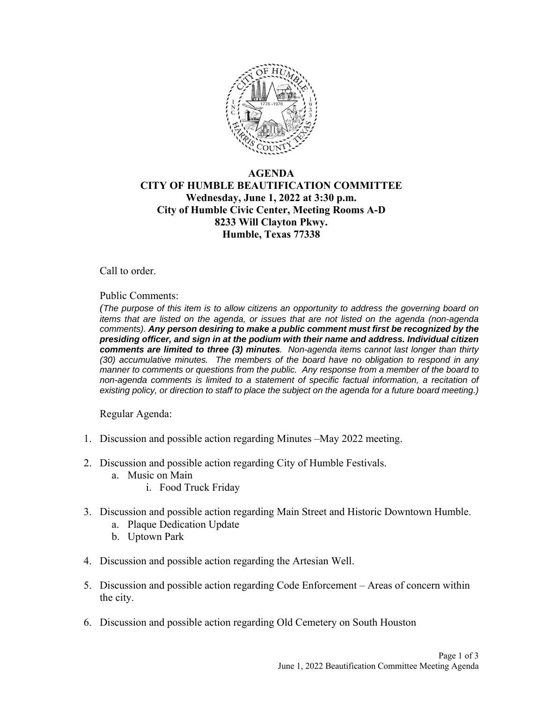

## **AGENDA CITY OF HUMBLE BEAUTIFICATION COMMITTEE Wednesday, June 1, 2022 at 3:30 p.m. City of Humble Civic Center, Meeting Rooms A-D 8233 Will Clayton Pkwy. Humble, Texas 77338**

Call to order.

Public Comments:

*(The purpose of this item is to allow citizens an opportunity to address the governing board on items that are listed on the agenda, or issues that are not listed on the agenda (non-agenda comments). Any person desiring to make a public comment must first be recognized by the presiding officer, and sign in at the podium with their name and address. Individual citizen comments are limited to three (3) minutes. Non-agenda items cannot last longer than thirty (30) accumulative minutes. The members of the board have no obligation to respond in any manner to comments or questions from the public. Any response from a member of the board to non-agenda comments is limited to a statement of specific factual information, a recitation of existing policy, or direction to staff to place the subject on the agenda for a future board meeting.)* 

Regular Agenda:

- 1. Discussion and possible action regarding Minutes –May 2022 meeting.
- 2. Discussion and possible action regarding City of Humble Festivals.
	- a. Music on Main
		- i. Food Truck Friday
- 3. Discussion and possible action regarding Main Street and Historic Downtown Humble.
	- a. Plaque Dedication Update
	- b. Uptown Park
- 4. Discussion and possible action regarding the Artesian Well.
- 5. Discussion and possible action regarding Code Enforcement Areas of concern within the city.
- 6. Discussion and possible action regarding Old Cemetery on South Houston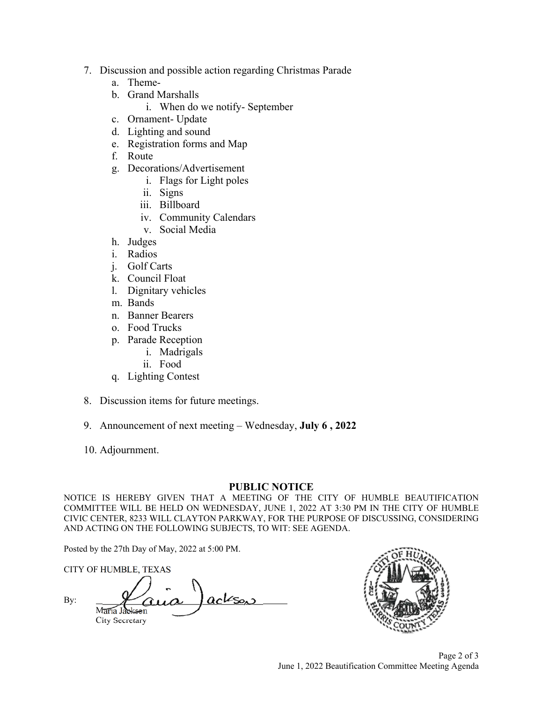- 7. Discussion and possible action regarding Christmas Parade
	- a. Theme-
	- b. Grand Marshalls
		- i. When do we notify- September
	- c. Ornament- Update
	- d. Lighting and sound
	- e. Registration forms and Map
	- f. Route
	- g. Decorations/Advertisement
		- i. Flags for Light poles
		- ii. Signs
		- iii. Billboard
		- iv. Community Calendars
		- v. Social Media
	- h. Judges
	- i. Radios
	- j. Golf Carts
	- k. Council Float
	- l. Dignitary vehicles
	- m. Bands
	- n. Banner Bearers
	- o. Food Trucks
	- p. Parade Reception
		- i. Madrigals
		- ii. Food
	- q. Lighting Contest
- 8. Discussion items for future meetings.
- 9. Announcement of next meeting Wednesday, **July 6 , 2022**
- 10. Adjournment.

## **PUBLIC NOTICE**

NOTICE IS HEREBY GIVEN THAT A MEETING OF THE CITY OF HUMBLE BEAUTIFICATION COMMITTEE WILL BE HELD ON WEDNESDAY, JUNE 1, 2022 AT 3:30 PM IN THE CITY OF HUMBLE CIVIC CENTER, 8233 WILL CLAYTON PARKWAY, FOR THE PURPOSE OF DISCUSSING, CONSIDERING AND ACTING ON THE FOLLOWING SUBJECTS, TO WIT: SEE AGENDA.

Posted by the 27th Day of May, 2022 at 5:00 PM.

CITY OF HUMBLE, TEXAS By:  $M_{\text{data}}$  Jackson City Secretary